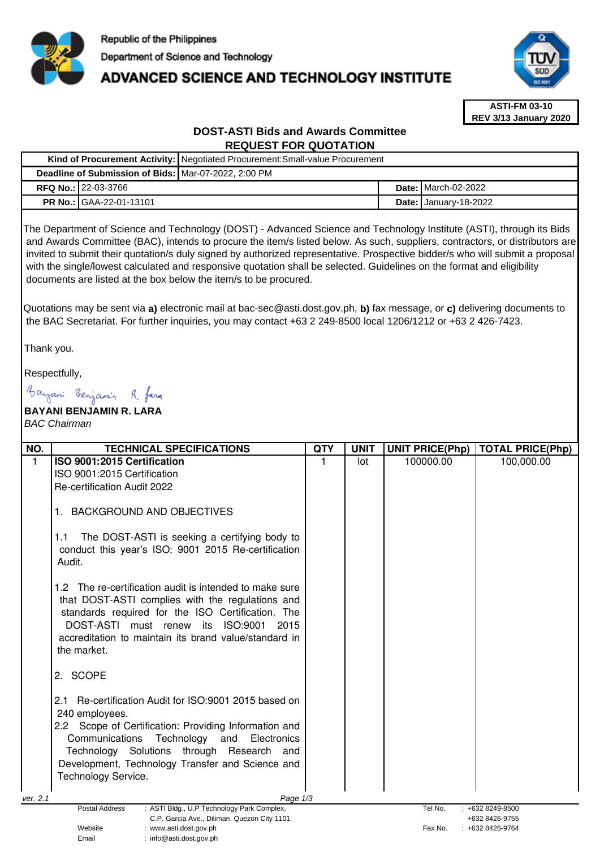

# **ADVANCED SCIENCE AND TECHNOLOGY INSTITUTE**



**ASTI-FM 03-10 REV 3/13 January 2020**

# **DOST-ASTI Bids and Awards Committee REQUEST FOR QUOTATION**

|                                                      | Kind of Procurement Activity:   Negotiated Procurement: Small-value Procurement |  |                                |  |  |
|------------------------------------------------------|---------------------------------------------------------------------------------|--|--------------------------------|--|--|
| Deadline of Submission of Bids: Mar-07-2022, 2:00 PM |                                                                                 |  |                                |  |  |
| <b>RFQ No.: 22-03-3766</b>                           |                                                                                 |  | <b>Date: I</b> March-02-2022   |  |  |
| <b>PR No.: GAA-22-01-13101</b>                       |                                                                                 |  | <b>Date:   January-18-2022</b> |  |  |

The Department of Science and Technology (DOST) - Advanced Science and Technology Institute (ASTI), through its Bids and Awards Committee (BAC), intends to procure the item/s listed below. As such, suppliers, contractors, or distributors are invited to submit their quotation/s duly signed by authorized representative. Prospective bidder/s who will submit a proposal with the single/lowest calculated and responsive quotation shall be selected. Guidelines on the format and eligibility documents are listed at the box below the item/s to be procured.

Quotations may be sent via **a)** electronic mail at bac-sec@asti.dost.gov.ph, **b)** fax message, or **c)** delivering documents to the BAC Secretariat. For further inquiries, you may contact +63 2 249-8500 local 1206/1212 or +63 2 426-7423.

Thank you.

Respectfully,

Bayani Benjamin R. fara

# **BAYANI BENJAMIN R. LARA**  BAC Chairman

| NO.      | <b>TECHNICAL SPECIFICATIONS</b>                                                                                                                                                                                                                                                                                | <b>QTY</b> | <b>UNIT</b> | <b>UNIT PRICE(Php)</b> | <b>TOTAL PRICE(Php)</b>               |
|----------|----------------------------------------------------------------------------------------------------------------------------------------------------------------------------------------------------------------------------------------------------------------------------------------------------------------|------------|-------------|------------------------|---------------------------------------|
| 1        | ISO 9001:2015 Certification                                                                                                                                                                                                                                                                                    |            | lot         | 100000.00              | 100,000.00                            |
|          | ISO 9001:2015 Certification                                                                                                                                                                                                                                                                                    |            |             |                        |                                       |
|          | <b>Re-certification Audit 2022</b>                                                                                                                                                                                                                                                                             |            |             |                        |                                       |
|          | <b>BACKGROUND AND OBJECTIVES</b>                                                                                                                                                                                                                                                                               |            |             |                        |                                       |
|          | The DOST-ASTI is seeking a certifying body to<br>1.1<br>conduct this year's ISO: 9001 2015 Re-certification<br>Audit.                                                                                                                                                                                          |            |             |                        |                                       |
|          | The re-certification audit is intended to make sure<br>1.2 <sub>1</sub><br>that DOST-ASTI complies with the regulations and<br>standards required for the ISO Certification. The<br>DOST-ASTI must renew<br>ISO:9001<br>its<br>2015<br>accreditation to maintain its brand value/standard in<br>the market.    |            |             |                        |                                       |
|          | 2. SCOPE                                                                                                                                                                                                                                                                                                       |            |             |                        |                                       |
|          | 2.1 Re-certification Audit for ISO:9001 2015 based on<br>240 employees.<br>2.2 Scope of Certification: Providing Information and<br>Technology<br>Communications<br>Electronics<br>and<br>Technology Solutions through Research and<br>Development, Technology Transfer and Science and<br>Technology Service. |            |             |                        |                                       |
|          |                                                                                                                                                                                                                                                                                                                |            |             |                        |                                       |
| ver. 2.1 | Page 1/3                                                                                                                                                                                                                                                                                                       |            |             |                        |                                       |
|          | <b>Postal Address</b><br>: ASTI Bldg., U.P Technology Park Complex,<br>C.P. Garcia Ave., Diliman, Quezon City 1101                                                                                                                                                                                             |            |             | Tel No.                | $: +6328249 - 8500$<br>+632 8426-9755 |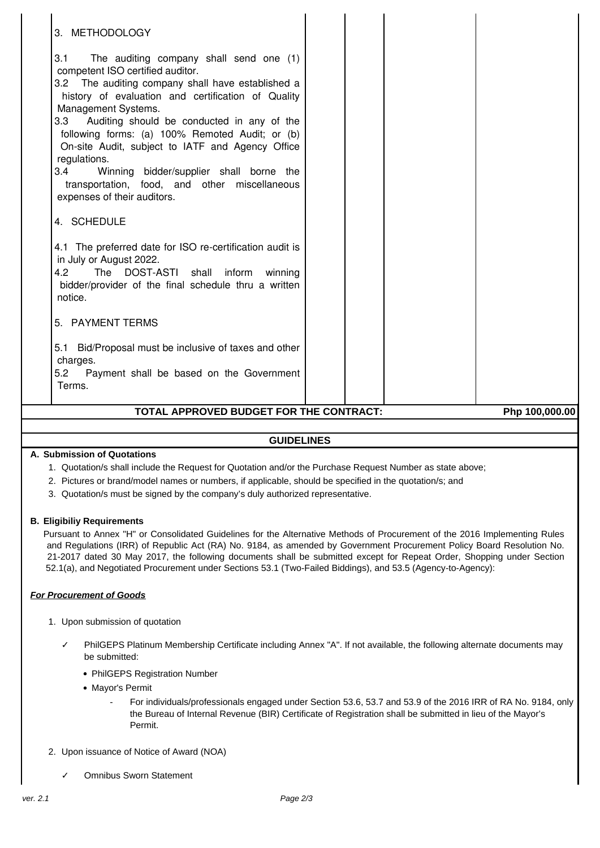| 3. METHODOLOGY                                                                                                                                                                                                                                                                                                                                                                                                                                                                                                                     |  |  |  |  |  |  |
|------------------------------------------------------------------------------------------------------------------------------------------------------------------------------------------------------------------------------------------------------------------------------------------------------------------------------------------------------------------------------------------------------------------------------------------------------------------------------------------------------------------------------------|--|--|--|--|--|--|
| 3.1<br>The auditing company shall send one (1)<br>competent ISO certified auditor.<br>3.2 The auditing company shall have established a<br>history of evaluation and certification of Quality<br>Management Systems.<br>Auditing should be conducted in any of the<br>3.3<br>following forms: (a) 100% Remoted Audit; or (b)<br>On-site Audit, subject to IATF and Agency Office<br>regulations.<br>3.4<br>Winning bidder/supplier shall borne the<br>transportation, food, and other miscellaneous<br>expenses of their auditors. |  |  |  |  |  |  |
| 4. SCHEDULE                                                                                                                                                                                                                                                                                                                                                                                                                                                                                                                        |  |  |  |  |  |  |
| 4.1 The preferred date for ISO re-certification audit is<br>in July or August 2022.<br>The DOST-ASTI shall<br>4.2<br>inform<br>winning<br>bidder/provider of the final schedule thru a written<br>notice.                                                                                                                                                                                                                                                                                                                          |  |  |  |  |  |  |
| 5. PAYMENT TERMS                                                                                                                                                                                                                                                                                                                                                                                                                                                                                                                   |  |  |  |  |  |  |
| 5.1 Bid/Proposal must be inclusive of taxes and other<br>charges.<br>5.2<br>Payment shall be based on the Government<br>Terms.                                                                                                                                                                                                                                                                                                                                                                                                     |  |  |  |  |  |  |
| TOTAL APPROVED BUDGET FOR THE CONTRACT:<br>Php 100,000.00                                                                                                                                                                                                                                                                                                                                                                                                                                                                          |  |  |  |  |  |  |
|                                                                                                                                                                                                                                                                                                                                                                                                                                                                                                                                    |  |  |  |  |  |  |

# **GUIDELINES**

## **A. Submission of Quotations**

- 1. Quotation/s shall include the Request for Quotation and/or the Purchase Request Number as state above;
- 2. Pictures or brand/model names or numbers, if applicable, should be specified in the quotation/s; and
- 3. Quotation/s must be signed by the company's duly authorized representative.

#### **B. Eligibiliy Requirements**

Pursuant to Annex "H" or Consolidated Guidelines for the Alternative Methods of Procurement of the 2016 Implementing Rules and Regulations (IRR) of Republic Act (RA) No. 9184, as amended by Government Procurement Policy Board Resolution No. 21-2017 dated 30 May 2017, the following documents shall be submitted except for Repeat Order, Shopping under Section 52.1(a), and Negotiated Procurement under Sections 53.1 (Two-Failed Biddings), and 53.5 (Agency-to-Agency):

## **For Procurement of Goods**

- 1. Upon submission of quotation
	- PhilGEPS Platinum Membership Certificate including Annex "A". If not available, the following alternate documents may be submitted:
		- PhilGEPS Registration Number
		- Mayor's Permit
			- For individuals/professionals engaged under Section 53.6, 53.7 and 53.9 of the 2016 IRR of RA No. 9184, only the Bureau of Internal Revenue (BIR) Certificate of Registration shall be submitted in lieu of the Mayor's Permit.
- 2. Upon issuance of Notice of Award (NOA)
	- ✓ Omnibus Sworn Statement